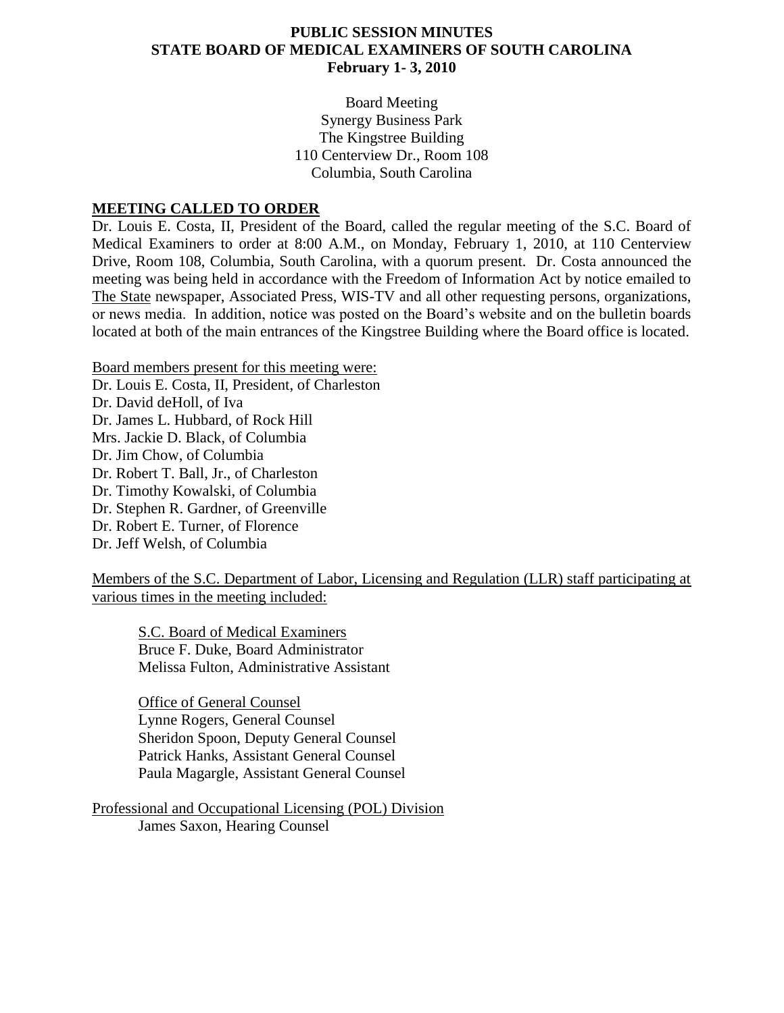## **PUBLIC SESSION MINUTES STATE BOARD OF MEDICAL EXAMINERS OF SOUTH CAROLINA February 1- 3, 2010**

Board Meeting Synergy Business Park The Kingstree Building 110 Centerview Dr., Room 108 Columbia, South Carolina

### **MEETING CALLED TO ORDER**

Dr. Louis E. Costa, II, President of the Board, called the regular meeting of the S.C. Board of Medical Examiners to order at 8:00 A.M., on Monday, February 1, 2010, at 110 Centerview Drive, Room 108, Columbia, South Carolina, with a quorum present. Dr. Costa announced the meeting was being held in accordance with the Freedom of Information Act by notice emailed to The State newspaper, Associated Press, WIS-TV and all other requesting persons, organizations, or news media. In addition, notice was posted on the Board's website and on the bulletin boards located at both of the main entrances of the Kingstree Building where the Board office is located.

Board members present for this meeting were: Dr. Louis E. Costa, II, President, of Charleston Dr. David deHoll, of Iva Dr. James L. Hubbard, of Rock Hill Mrs. Jackie D. Black, of Columbia Dr. Jim Chow, of Columbia Dr. Robert T. Ball, Jr., of Charleston Dr. Timothy Kowalski, of Columbia Dr. Stephen R. Gardner, of Greenville Dr. Robert E. Turner, of Florence Dr. Jeff Welsh, of Columbia

Members of the S.C. Department of Labor, Licensing and Regulation (LLR) staff participating at various times in the meeting included:

S.C. Board of Medical Examiners Bruce F. Duke, Board Administrator Melissa Fulton, Administrative Assistant

Office of General Counsel Lynne Rogers, General Counsel Sheridon Spoon, Deputy General Counsel Patrick Hanks, Assistant General Counsel Paula Magargle, Assistant General Counsel

Professional and Occupational Licensing (POL) Division James Saxon, Hearing Counsel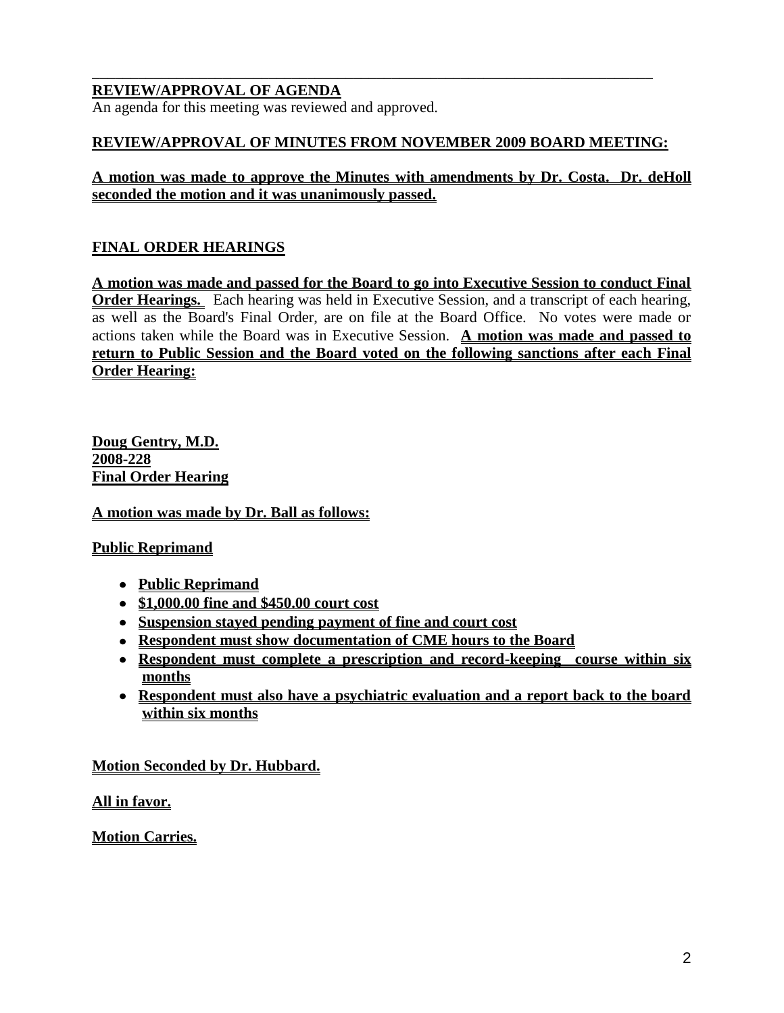## **REVIEW/APPROVAL OF AGENDA**

An agenda for this meeting was reviewed and approved.

#### **REVIEW/APPROVAL OF MINUTES FROM NOVEMBER 2009 BOARD MEETING:**

\_\_\_\_\_\_\_\_\_\_\_\_\_\_\_\_\_\_\_\_\_\_\_\_\_\_\_\_\_\_\_\_\_\_\_\_\_\_\_\_\_\_\_\_\_\_\_\_\_\_\_\_\_\_\_\_\_\_\_\_\_\_\_\_\_\_\_\_\_\_\_\_\_

### **A motion was made to approve the Minutes with amendments by Dr. Costa. Dr. deHoll seconded the motion and it was unanimously passed.**

# **FINAL ORDER HEARINGS**

**A motion was made and passed for the Board to go into Executive Session to conduct Final Order Hearings.** Each hearing was held in Executive Session, and a transcript of each hearing, as well as the Board's Final Order, are on file at the Board Office. No votes were made or actions taken while the Board was in Executive Session. **A motion was made and passed to return to Public Session and the Board voted on the following sanctions after each Final Order Hearing:**

**Doug Gentry, M.D. 2008-228 Final Order Hearing**

**A motion was made by Dr. Ball as follows:**

#### **Public Reprimand**

- **Public Reprimand**
- **\$1,000.00 fine and \$450.00 court cost**
- **Suspension stayed pending payment of fine and court cost**
- **Respondent must show documentation of CME hours to the Board**
- **Respondent must complete a prescription and record-keeping course within six months**
- **Respondent must also have a psychiatric evaluation and a report back to the board within six months**

# **Motion Seconded by Dr. Hubbard.**

**All in favor.**

**Motion Carries.**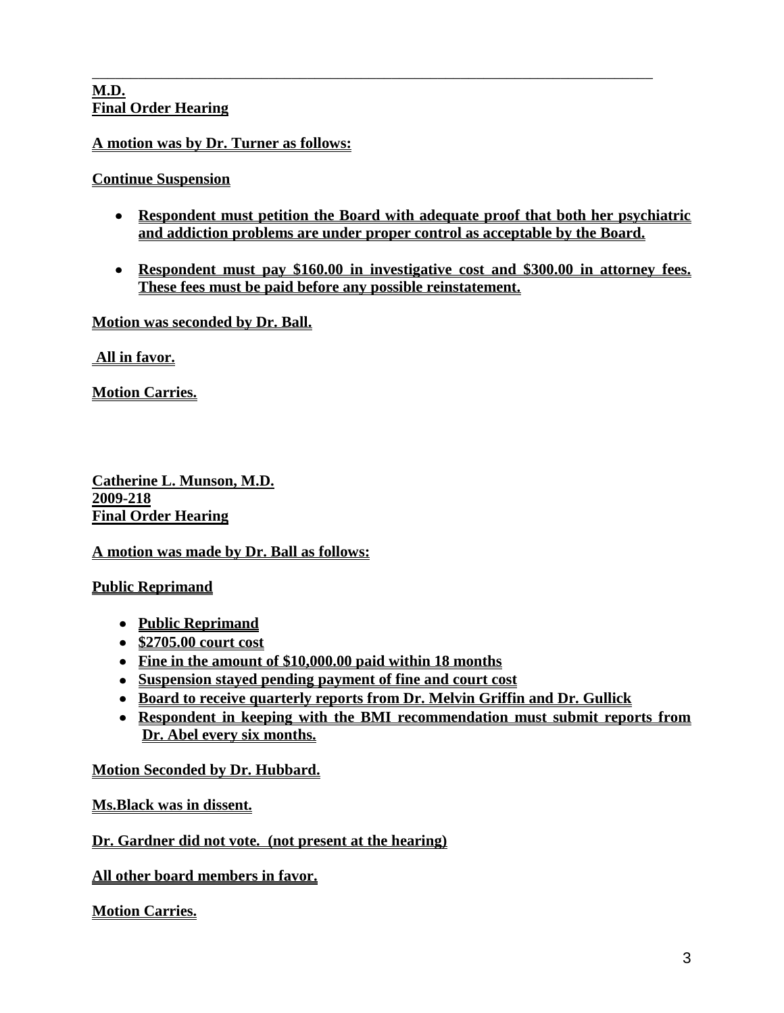#### **M.D. Final Order Hearing**

# **A motion was by Dr. Turner as follows:**

# **Continue Suspension**

**Respondent must petition the Board with adequate proof that both her psychiatric and addiction problems are under proper control as acceptable by the Board.**

\_\_\_\_\_\_\_\_\_\_\_\_\_\_\_\_\_\_\_\_\_\_\_\_\_\_\_\_\_\_\_\_\_\_\_\_\_\_\_\_\_\_\_\_\_\_\_\_\_\_\_\_\_\_\_\_\_\_\_\_\_\_\_\_\_\_\_\_\_\_\_\_\_

**Respondent must pay \$160.00 in investigative cost and \$300.00 in attorney fees. These fees must be paid before any possible reinstatement.** 

**Motion was seconded by Dr. Ball.** 

**All in favor.**

**Motion Carries.**

**Catherine L. Munson, M.D. 2009-218 Final Order Hearing**

**A motion was made by Dr. Ball as follows:**

# **Public Reprimand**

- **Public Reprimand**
- **\$2705.00 court cost**
- **Fine in the amount of \$10,000.00 paid within 18 months**
- **Suspension stayed pending payment of fine and court cost**
- **Board to receive quarterly reports from Dr. Melvin Griffin and Dr. Gullick**
- **Respondent in keeping with the BMI recommendation must submit reports from Dr. Abel every six months.**

# **Motion Seconded by Dr. Hubbard.**

# **Ms.Black was in dissent.**

# **Dr. Gardner did not vote. (not present at the hearing)**

**All other board members in favor.**

# **Motion Carries.**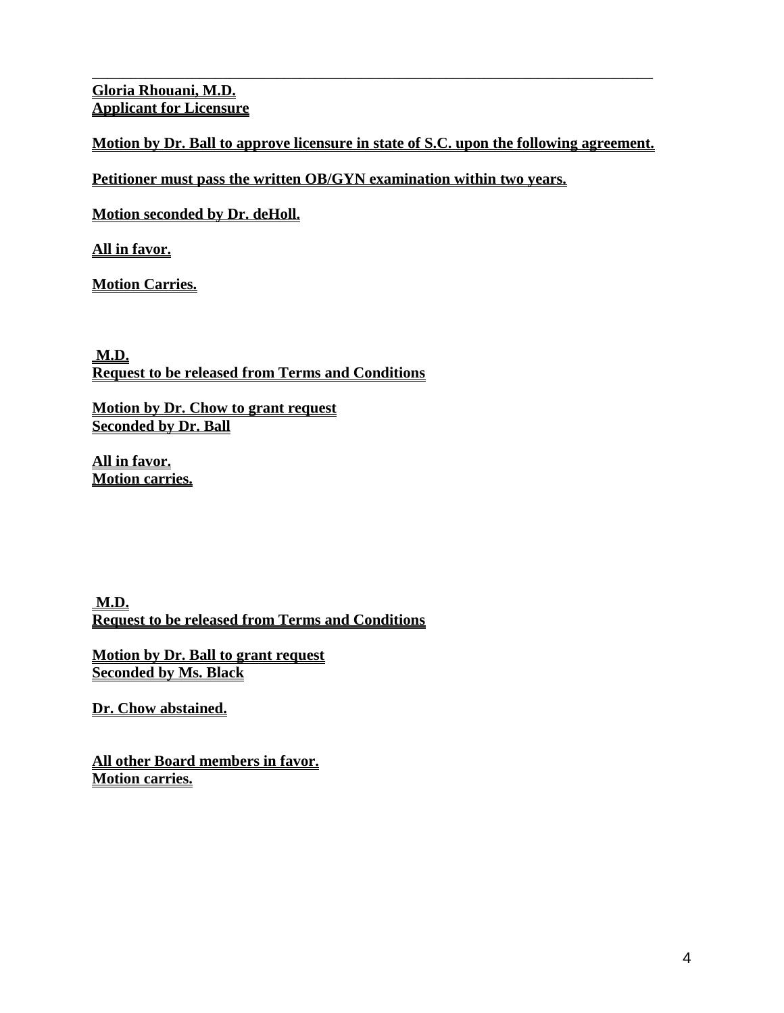**Gloria Rhouani, M.D. Applicant for Licensure**

**Motion by Dr. Ball to approve licensure in state of S.C. upon the following agreement.**

\_\_\_\_\_\_\_\_\_\_\_\_\_\_\_\_\_\_\_\_\_\_\_\_\_\_\_\_\_\_\_\_\_\_\_\_\_\_\_\_\_\_\_\_\_\_\_\_\_\_\_\_\_\_\_\_\_\_\_\_\_\_\_\_\_\_\_\_\_\_\_\_\_

**Petitioner must pass the written OB/GYN examination within two years.** 

**Motion seconded by Dr. deHoll.**

**All in favor.**

**Motion Carries.**

**M.D. Request to be released from Terms and Conditions**

**Motion by Dr. Chow to grant request Seconded by Dr. Ball**

**All in favor. Motion carries.**

**M.D. Request to be released from Terms and Conditions**

**Motion by Dr. Ball to grant request Seconded by Ms. Black**

**Dr. Chow abstained.**

**All other Board members in favor. Motion carries.**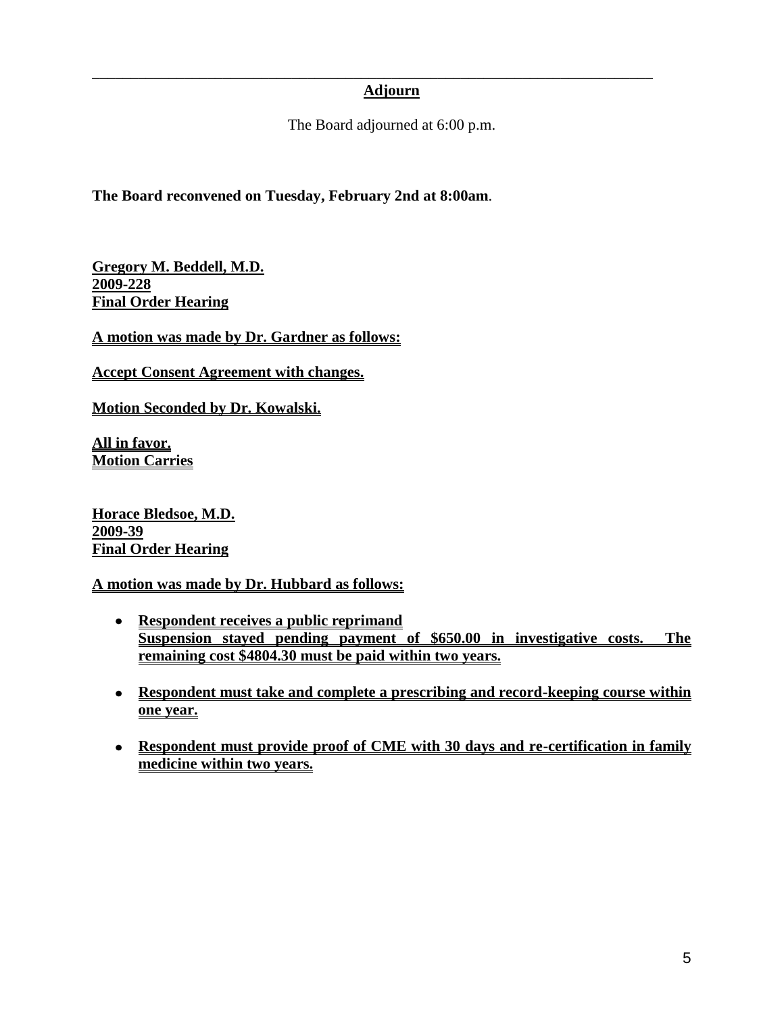# **Adjourn**

\_\_\_\_\_\_\_\_\_\_\_\_\_\_\_\_\_\_\_\_\_\_\_\_\_\_\_\_\_\_\_\_\_\_\_\_\_\_\_\_\_\_\_\_\_\_\_\_\_\_\_\_\_\_\_\_\_\_\_\_\_\_\_\_\_\_\_\_\_\_\_\_\_

The Board adjourned at 6:00 p.m.

**The Board reconvened on Tuesday, February 2nd at 8:00am**.

**Gregory M. Beddell, M.D. 2009-228 Final Order Hearing**

**A motion was made by Dr. Gardner as follows:**

**Accept Consent Agreement with changes.** 

**Motion Seconded by Dr. Kowalski.**

**All in favor. Motion Carries**

**Horace Bledsoe, M.D. 2009-39 Final Order Hearing**

**A motion was made by Dr. Hubbard as follows:**

- **Respondent receives a public reprimand Suspension stayed pending payment of \$650.00 in investigative costs. The remaining cost \$4804.30 must be paid within two years.**
- **Respondent must take and complete a prescribing and record-keeping course within one year.**
- **Respondent must provide proof of CME with 30 days and re-certification in family medicine within two years.**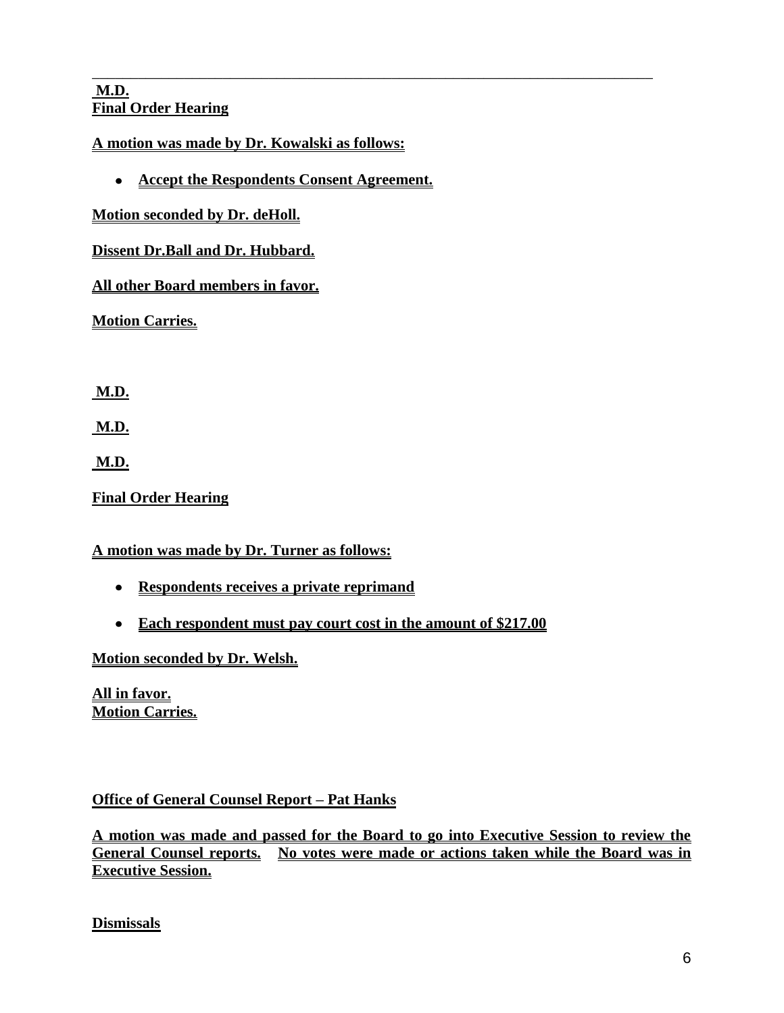## **M.D. Final Order Hearing**

**A motion was made by Dr. Kowalski as follows:**

**Accept the Respondents Consent Agreement.**

\_\_\_\_\_\_\_\_\_\_\_\_\_\_\_\_\_\_\_\_\_\_\_\_\_\_\_\_\_\_\_\_\_\_\_\_\_\_\_\_\_\_\_\_\_\_\_\_\_\_\_\_\_\_\_\_\_\_\_\_\_\_\_\_\_\_\_\_\_\_\_\_\_

# **Motion seconded by Dr. deHoll.**

# **Dissent Dr.Ball and Dr. Hubbard.**

# **All other Board members in favor.**

**Motion Carries.**

**M.D.**

**M.D.** 

**M.D.**

**Final Order Hearing** 

# **A motion was made by Dr. Turner as follows:**

- **Respondents receives a private reprimand**
- **Each respondent must pay court cost in the amount of \$217.00**

# **Motion seconded by Dr. Welsh.**

**All in favor. Motion Carries.**

# **Office of General Counsel Report – Pat Hanks**

**A motion was made and passed for the Board to go into Executive Session to review the General Counsel reports. No votes were made or actions taken while the Board was in Executive Session.** 

**Dismissals**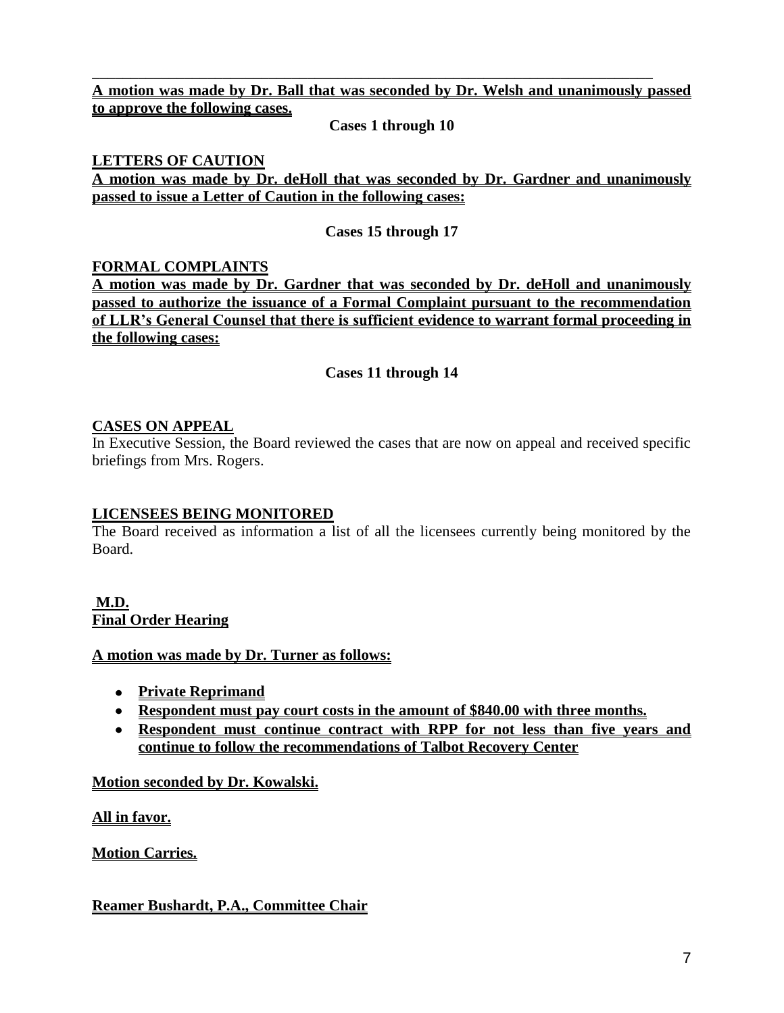**A motion was made by Dr. Ball that was seconded by Dr. Welsh and unanimously passed to approve the following cases.** 

\_\_\_\_\_\_\_\_\_\_\_\_\_\_\_\_\_\_\_\_\_\_\_\_\_\_\_\_\_\_\_\_\_\_\_\_\_\_\_\_\_\_\_\_\_\_\_\_\_\_\_\_\_\_\_\_\_\_\_\_\_\_\_\_\_\_\_\_\_\_\_\_\_

**Cases 1 through 10**

### **LETTERS OF CAUTION**

**A motion was made by Dr. deHoll that was seconded by Dr. Gardner and unanimously passed to issue a Letter of Caution in the following cases:**

**Cases 15 through 17**

### **FORMAL COMPLAINTS**

**A motion was made by Dr. Gardner that was seconded by Dr. deHoll and unanimously passed to authorize the issuance of a Formal Complaint pursuant to the recommendation of LLR's General Counsel that there is sufficient evidence to warrant formal proceeding in the following cases:**

### **Cases 11 through 14**

#### **CASES ON APPEAL**

In Executive Session, the Board reviewed the cases that are now on appeal and received specific briefings from Mrs. Rogers.

#### **LICENSEES BEING MONITORED**

The Board received as information a list of all the licensees currently being monitored by the Board.

### **M.D. Final Order Hearing**

#### **A motion was made by Dr. Turner as follows:**

- **Private Reprimand**
- **Respondent must pay court costs in the amount of \$840.00 with three months.**
- **Respondent must continue contract with RPP for not less than five years and continue to follow the recommendations of Talbot Recovery Center**

#### **Motion seconded by Dr. Kowalski.**

**All in favor.**

**Motion Carries.**

# **Reamer Bushardt, P.A., Committee Chair**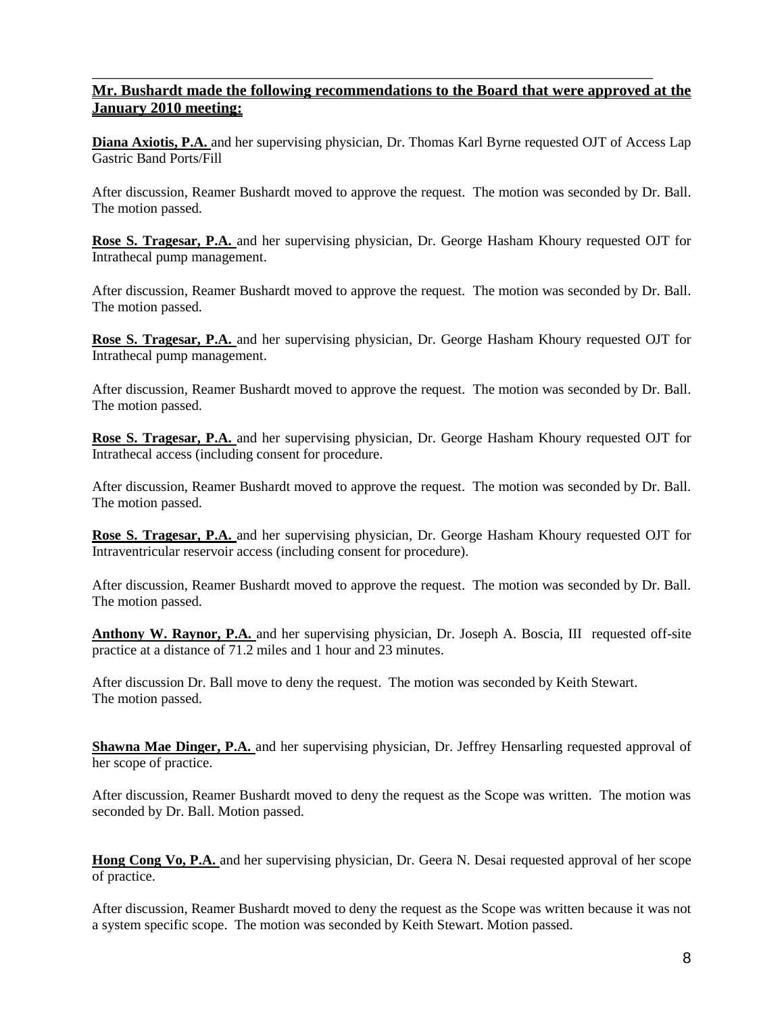### **Mr. Bushardt made the following recommendations to the Board that were approved at the January 2010 meeting:**

\_\_\_\_\_\_\_\_\_\_\_\_\_\_\_\_\_\_\_\_\_\_\_\_\_\_\_\_\_\_\_\_\_\_\_\_\_\_\_\_\_\_\_\_\_\_\_\_\_\_\_\_\_\_\_\_\_\_\_\_\_\_\_\_\_\_\_\_\_\_\_\_\_

**Diana Axiotis, P.A.** and her supervising physician, Dr. Thomas Karl Byrne requested OJT of Access Lap Gastric Band Ports/Fill

After discussion, Reamer Bushardt moved to approve the request. The motion was seconded by Dr. Ball. The motion passed.

**Rose S. Tragesar, P.A.** and her supervising physician, Dr. George Hasham Khoury requested OJT for Intrathecal pump management.

After discussion, Reamer Bushardt moved to approve the request. The motion was seconded by Dr. Ball. The motion passed.

**Rose S. Tragesar, P.A.** and her supervising physician, Dr. George Hasham Khoury requested OJT for Intrathecal pump management.

After discussion, Reamer Bushardt moved to approve the request. The motion was seconded by Dr. Ball. The motion passed.

**Rose S. Tragesar, P.A.** and her supervising physician, Dr. George Hasham Khoury requested OJT for Intrathecal access (including consent for procedure.

After discussion, Reamer Bushardt moved to approve the request. The motion was seconded by Dr. Ball. The motion passed.

**Rose S. Tragesar, P.A.** and her supervising physician, Dr. George Hasham Khoury requested OJT for Intraventricular reservoir access (including consent for procedure).

After discussion, Reamer Bushardt moved to approve the request. The motion was seconded by Dr. Ball. The motion passed.

**Anthony W. Raynor, P.A.** and her supervising physician, Dr. Joseph A. Boscia, III requested off-site practice at a distance of 71.2 miles and 1 hour and 23 minutes.

After discussion Dr. Ball move to deny the request. The motion was seconded by Keith Stewart. The motion passed.

**Shawna Mae Dinger, P.A.** and her supervising physician, Dr. Jeffrey Hensarling requested approval of her scope of practice.

After discussion, Reamer Bushardt moved to deny the request as the Scope was written. The motion was seconded by Dr. Ball. Motion passed.

**Hong Cong Vo, P.A.** and her supervising physician, Dr. Geera N. Desai requested approval of her scope of practice.

After discussion, Reamer Bushardt moved to deny the request as the Scope was written because it was not a system specific scope. The motion was seconded by Keith Stewart. Motion passed.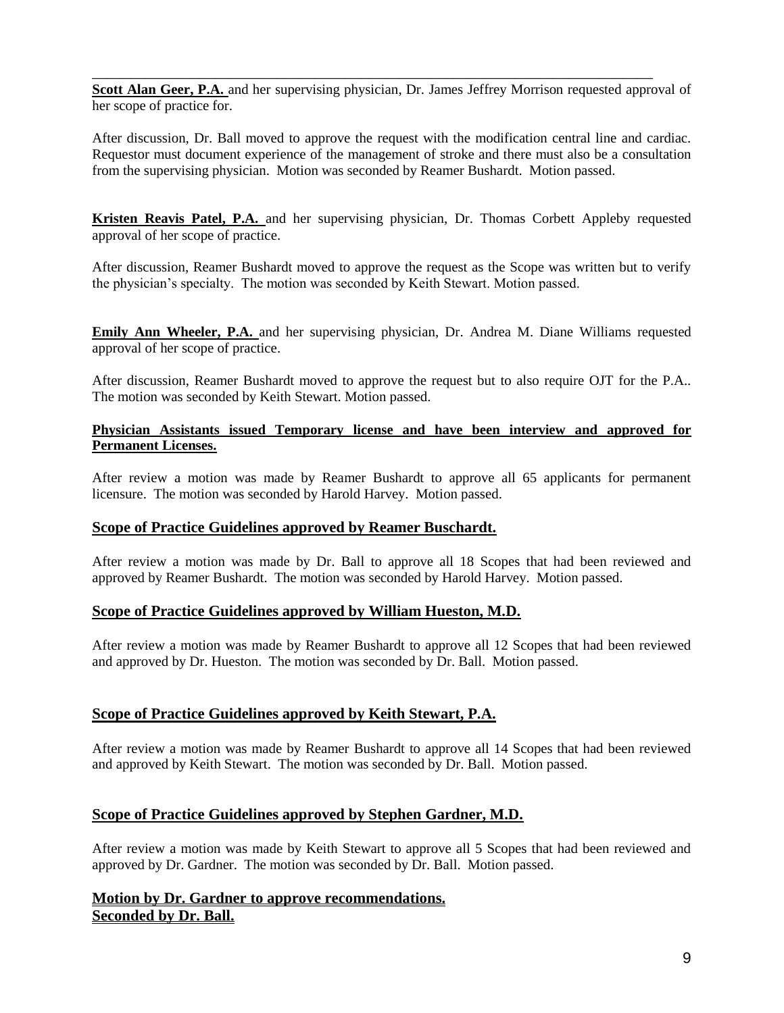**Scott Alan Geer, P.A.** and her supervising physician, Dr. James Jeffrey Morrison requested approval of her scope of practice for.

\_\_\_\_\_\_\_\_\_\_\_\_\_\_\_\_\_\_\_\_\_\_\_\_\_\_\_\_\_\_\_\_\_\_\_\_\_\_\_\_\_\_\_\_\_\_\_\_\_\_\_\_\_\_\_\_\_\_\_\_\_\_\_\_\_\_\_\_\_\_\_\_\_

After discussion, Dr. Ball moved to approve the request with the modification central line and cardiac. Requestor must document experience of the management of stroke and there must also be a consultation from the supervising physician. Motion was seconded by Reamer Bushardt. Motion passed.

**Kristen Reavis Patel, P.A.** and her supervising physician, Dr. Thomas Corbett Appleby requested approval of her scope of practice.

After discussion, Reamer Bushardt moved to approve the request as the Scope was written but to verify the physician's specialty. The motion was seconded by Keith Stewart. Motion passed.

**Emily Ann Wheeler, P.A.** and her supervising physician, Dr. Andrea M. Diane Williams requested approval of her scope of practice.

After discussion, Reamer Bushardt moved to approve the request but to also require OJT for the P.A.. The motion was seconded by Keith Stewart. Motion passed.

#### **Physician Assistants issued Temporary license and have been interview and approved for Permanent Licenses.**

After review a motion was made by Reamer Bushardt to approve all 65 applicants for permanent licensure. The motion was seconded by Harold Harvey. Motion passed.

#### **Scope of Practice Guidelines approved by Reamer Buschardt.**

After review a motion was made by Dr. Ball to approve all 18 Scopes that had been reviewed and approved by Reamer Bushardt. The motion was seconded by Harold Harvey. Motion passed.

#### **Scope of Practice Guidelines approved by William Hueston, M.D.**

After review a motion was made by Reamer Bushardt to approve all 12 Scopes that had been reviewed and approved by Dr. Hueston. The motion was seconded by Dr. Ball. Motion passed.

#### **Scope of Practice Guidelines approved by Keith Stewart, P.A.**

After review a motion was made by Reamer Bushardt to approve all 14 Scopes that had been reviewed and approved by Keith Stewart. The motion was seconded by Dr. Ball. Motion passed.

#### **Scope of Practice Guidelines approved by Stephen Gardner, M.D.**

After review a motion was made by Keith Stewart to approve all 5 Scopes that had been reviewed and approved by Dr. Gardner. The motion was seconded by Dr. Ball. Motion passed.

#### **Motion by Dr. Gardner to approve recommendations. Seconded by Dr. Ball.**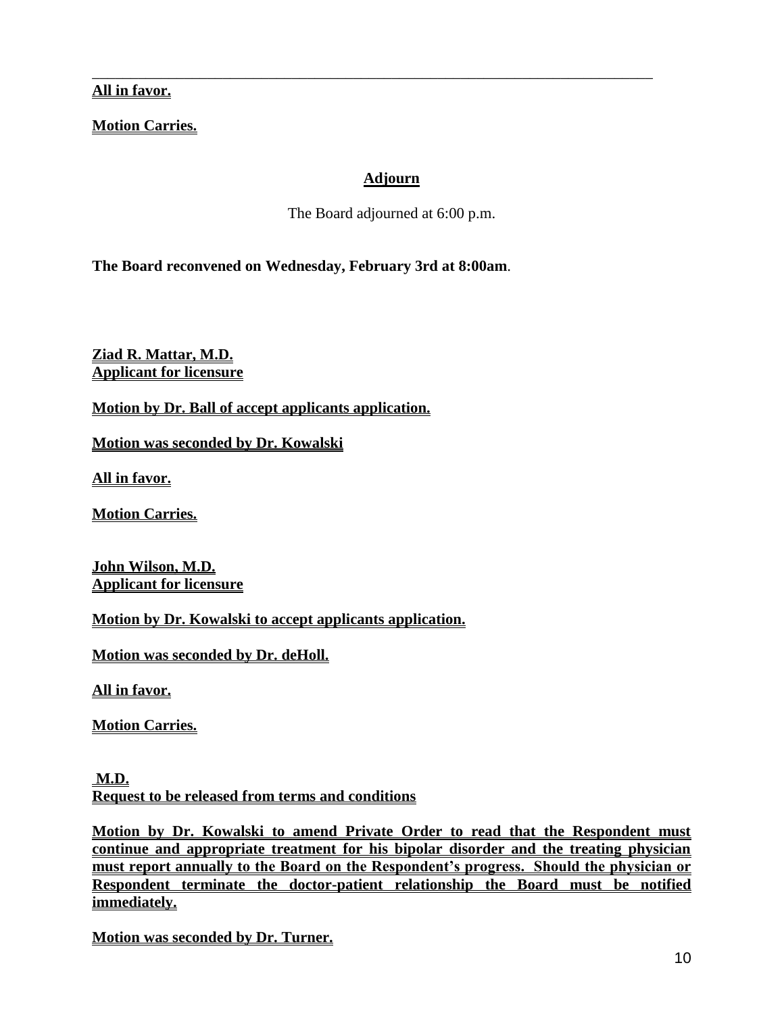**All in favor.**

**Motion Carries.**

# **Adjourn**

\_\_\_\_\_\_\_\_\_\_\_\_\_\_\_\_\_\_\_\_\_\_\_\_\_\_\_\_\_\_\_\_\_\_\_\_\_\_\_\_\_\_\_\_\_\_\_\_\_\_\_\_\_\_\_\_\_\_\_\_\_\_\_\_\_\_\_\_\_\_\_\_\_

The Board adjourned at 6:00 p.m.

**The Board reconvened on Wednesday, February 3rd at 8:00am**.

**Ziad R. Mattar, M.D. Applicant for licensure**

**Motion by Dr. Ball of accept applicants application.**

**Motion was seconded by Dr. Kowalski**

**All in favor.**

**Motion Carries.**

**John Wilson, M.D. Applicant for licensure**

**Motion by Dr. Kowalski to accept applicants application.**

**Motion was seconded by Dr. deHoll.**

**All in favor.**

**Motion Carries.**

**M.D. Request to be released from terms and conditions**

**Motion by Dr. Kowalski to amend Private Order to read that the Respondent must continue and appropriate treatment for his bipolar disorder and the treating physician must report annually to the Board on the Respondent's progress. Should the physician or Respondent terminate the doctor-patient relationship the Board must be notified immediately.**

**Motion was seconded by Dr. Turner.**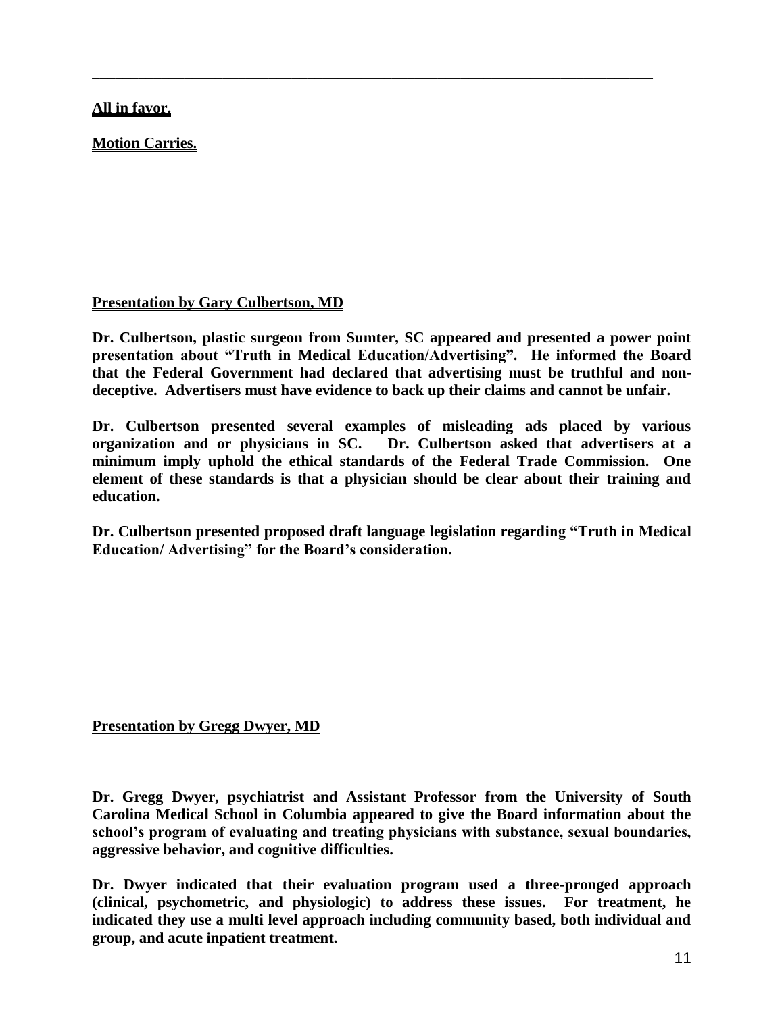# **All in favor.**

**Motion Carries.**

# **Presentation by Gary Culbertson, MD**

**Dr. Culbertson, plastic surgeon from Sumter, SC appeared and presented a power point presentation about "Truth in Medical Education/Advertising". He informed the Board that the Federal Government had declared that advertising must be truthful and nondeceptive. Advertisers must have evidence to back up their claims and cannot be unfair.**

\_\_\_\_\_\_\_\_\_\_\_\_\_\_\_\_\_\_\_\_\_\_\_\_\_\_\_\_\_\_\_\_\_\_\_\_\_\_\_\_\_\_\_\_\_\_\_\_\_\_\_\_\_\_\_\_\_\_\_\_\_\_\_\_\_\_\_\_\_\_\_\_\_

**Dr. Culbertson presented several examples of misleading ads placed by various organization and or physicians in SC. Dr. Culbertson asked that advertisers at a minimum imply uphold the ethical standards of the Federal Trade Commission. One element of these standards is that a physician should be clear about their training and education.**

**Dr. Culbertson presented proposed draft language legislation regarding "Truth in Medical Education/ Advertising" for the Board's consideration.** 

# **Presentation by Gregg Dwyer, MD**

**Dr. Gregg Dwyer, psychiatrist and Assistant Professor from the University of South Carolina Medical School in Columbia appeared to give the Board information about the school's program of evaluating and treating physicians with substance, sexual boundaries, aggressive behavior, and cognitive difficulties.**

**Dr. Dwyer indicated that their evaluation program used a three-pronged approach (clinical, psychometric, and physiologic) to address these issues. For treatment, he indicated they use a multi level approach including community based, both individual and group, and acute inpatient treatment.**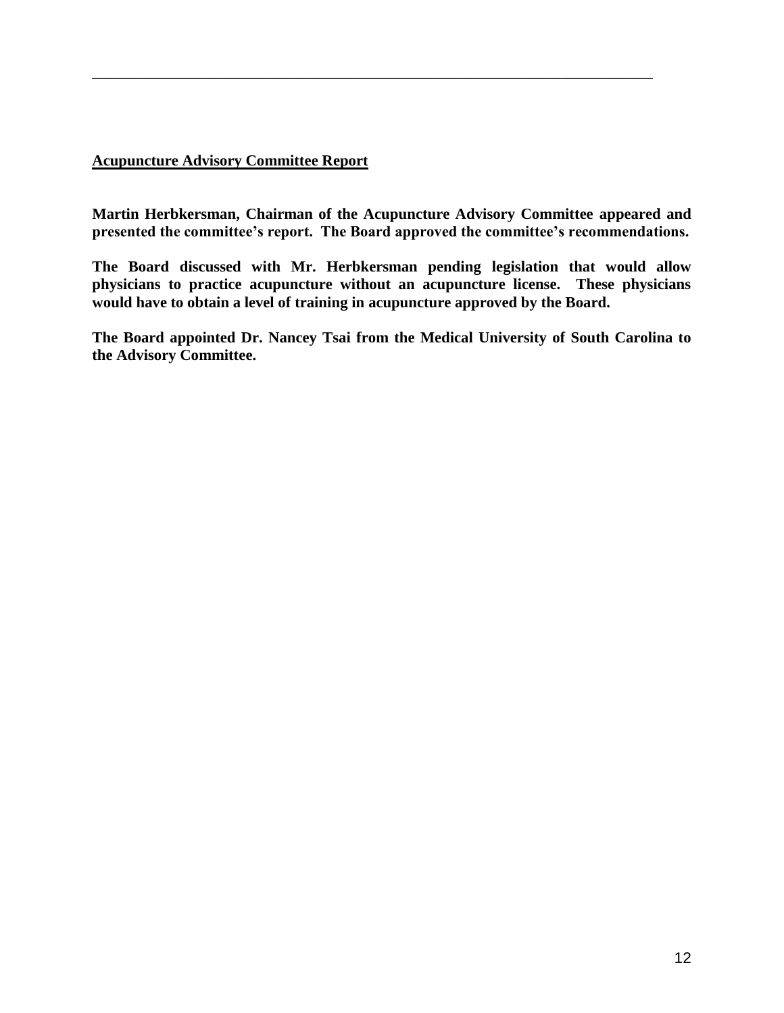### **Acupuncture Advisory Committee Report**

**Martin Herbkersman, Chairman of the Acupuncture Advisory Committee appeared and presented the committee's report. The Board approved the committee's recommendations.**

\_\_\_\_\_\_\_\_\_\_\_\_\_\_\_\_\_\_\_\_\_\_\_\_\_\_\_\_\_\_\_\_\_\_\_\_\_\_\_\_\_\_\_\_\_\_\_\_\_\_\_\_\_\_\_\_\_\_\_\_\_\_\_\_\_\_\_\_\_\_\_\_\_

**The Board discussed with Mr. Herbkersman pending legislation that would allow physicians to practice acupuncture without an acupuncture license. These physicians would have to obtain a level of training in acupuncture approved by the Board.**

**The Board appointed Dr. Nancey Tsai from the Medical University of South Carolina to the Advisory Committee.**